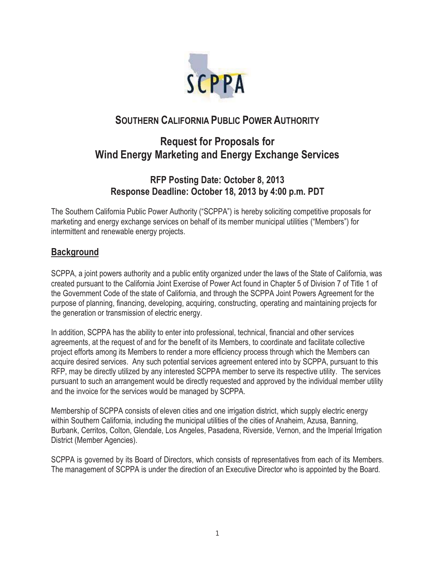

# **SOUTHERN CALIFORNIA PUBLIC POWER AUTHORITY**

# **Request for Proposals for Wind Energy Marketing and Energy Exchange Services**

# **RFP Posting Date: October 8, 2013 Response Deadline: October 18, 2013 by 4:00 p.m. PDT**

The Southern California Public Power Authority ("SCPPA") is hereby soliciting competitive proposals for marketing and energy exchange services on behalf of its member municipal utilities ("Members") for intermittent and renewable energy projects.

## **Background**

SCPPA, a joint powers authority and a public entity organized under the laws of the State of California, was created pursuant to the California Joint Exercise of Power Act found in Chapter 5 of Division 7 of Title 1 of the Government Code of the state of California, and through the SCPPA Joint Powers Agreement for the purpose of planning, financing, developing, acquiring, constructing, operating and maintaining projects for the generation or transmission of electric energy.

In addition, SCPPA has the ability to enter into professional, technical, financial and other services agreements, at the request of and for the benefit of its Members, to coordinate and facilitate collective project efforts among its Members to render a more efficiency process through which the Members can acquire desired services. Any such potential services agreement entered into by SCPPA, pursuant to this RFP, may be directly utilized by any interested SCPPA member to serve its respective utility. The services pursuant to such an arrangement would be directly requested and approved by the individual member utility and the invoice for the services would be managed by SCPPA.

Membership of SCPPA consists of eleven cities and one irrigation district, which supply electric energy within Southern California, including the municipal utilities of the cities of Anaheim, Azusa, Banning, Burbank, Cerritos, Colton, Glendale, Los Angeles, Pasadena, Riverside, Vernon, and the Imperial Irrigation District (Member Agencies).

SCPPA is governed by its Board of Directors, which consists of representatives from each of its Members. The management of SCPPA is under the direction of an Executive Director who is appointed by the Board.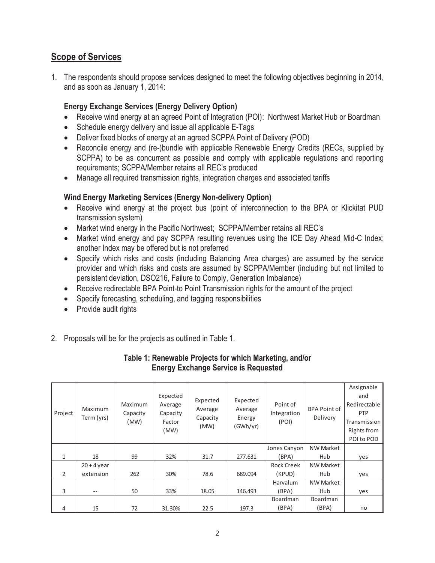# **Scope of Services**

1. The respondents should propose services designed to meet the following objectives beginning in 2014, and as soon as January 1, 2014:

#### **Energy Exchange Services (Energy Delivery Option)**

- Receive wind energy at an agreed Point of Integration (POI): Northwest Market Hub or Boardman
- Schedule energy delivery and issue all applicable E-Tags
- Deliver fixed blocks of energy at an agreed SCPPA Point of Delivery (POD)
- Reconcile energy and (re-)bundle with applicable Renewable Energy Credits (RECs, supplied by SCPPA) to be as concurrent as possible and comply with applicable regulations and reporting requirements; SCPPA/Member retains all REC's produced
- Manage all required transmission rights, integration charges and associated tariffs

#### **Wind Energy Marketing Services (Energy Non-delivery Option)**

- Receive wind energy at the project bus (point of interconnection to the BPA or Klickitat PUD transmission system)
- Market wind energy in the Pacific Northwest; SCPPA/Member retains all REC's
- Market wind energy and pay SCPPA resulting revenues using the ICE Day Ahead Mid-C Index; another Index may be offered but is not preferred
- Specify which risks and costs (including Balancing Area charges) are assumed by the service provider and which risks and costs are assumed by SCPPA/Member (including but not limited to persistent deviation, DSO216, Failure to Comply, Generation Imbalance)
- Receive redirectable BPA Point-to Point Transmission rights for the amount of the project
- Specify forecasting, scheduling, and tagging responsibilities
- Provide audit rights
- 2. Proposals will be for the projects as outlined in Table 1.

#### **Table 1: Renewable Projects for which Marketing, and/or Energy Exchange Service is Requested**

| Project      | Maximum<br>Term (yrs) | Maximum<br>Capacity<br>(MW) | Expected<br>Average<br>Capacity<br>Factor<br>(MW) | Expected<br>Average<br>Capacity<br>(MW) | Expected<br>Average<br>Energy<br>(GWh/yr) | Point of<br>Integration<br>(POI) | <b>BPA Point of</b><br>Delivery | Assignable<br>and<br>Redirectable<br><b>PTP</b><br>Transmission<br>Rights from<br>POI to POD |
|--------------|-----------------------|-----------------------------|---------------------------------------------------|-----------------------------------------|-------------------------------------------|----------------------------------|---------------------------------|----------------------------------------------------------------------------------------------|
|              |                       |                             |                                                   |                                         |                                           | Jones Canyon                     | <b>NW Market</b>                |                                                                                              |
| $\mathbf{1}$ | 18                    | 99                          | 32%                                               | 31.7                                    | 277.631                                   | (BPA)                            | Hub                             | yes                                                                                          |
|              | $20 + 4$ year         |                             |                                                   |                                         |                                           | <b>Rock Creek</b>                | <b>NW Market</b>                |                                                                                              |
| 2            | extension             | 262                         | 30%                                               | 78.6                                    | 689.094                                   | (KPUD)                           | Hub                             | yes                                                                                          |
|              |                       |                             |                                                   |                                         |                                           | Harvalum                         | <b>NW Market</b>                |                                                                                              |
| 3            |                       | 50                          | 33%                                               | 18.05                                   | 146.493                                   | (BPA)                            | Hub                             | yes                                                                                          |
|              |                       |                             |                                                   |                                         |                                           | Boardman                         | Boardman                        |                                                                                              |
| 4            | 15                    | 72                          | 31.30%                                            | 22.5                                    | 197.3                                     | (BPA)                            | (BPA)                           | no                                                                                           |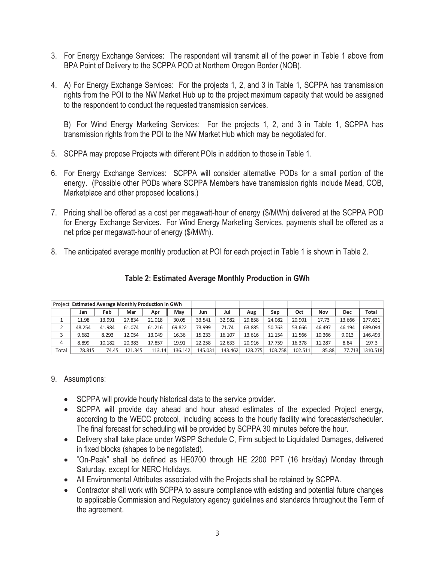- 3. For Energy Exchange Services: The respondent will transmit all of the power in Table 1 above from BPA Point of Delivery to the SCPPA POD at Northern Oregon Border (NOB).
- 4. A) For Energy Exchange Services: For the projects 1, 2, and 3 in Table 1, SCPPA has transmission rights from the POI to the NW Market Hub up to the project maximum capacity that would be assigned to the respondent to conduct the requested transmission services.

 B) For Wind Energy Marketing Services: For the projects 1, 2, and 3 in Table 1, SCPPA has transmission rights from the POI to the NW Market Hub which may be negotiated for.

- 5. SCPPA may propose Projects with different POIs in addition to those in Table 1.
- 6. For Energy Exchange Services: SCPPA will consider alternative PODs for a small portion of the energy. (Possible other PODs where SCPPA Members have transmission rights include Mead, COB, Marketplace and other proposed locations.)
- 7. Pricing shall be offered as a cost per megawatt-hour of energy (\$/MWh) delivered at the SCPPA POD for Energy Exchange Services. For Wind Energy Marketing Services, payments shall be offered as a net price per megawatt-hour of energy (\$/MWh).
- 8. The anticipated average monthly production at POI for each project in Table 1 is shown in Table 2.

| Project  | <b>Estimated Average Monthly Production in GWh</b> |        |         |        |         |         |         |         |         |         |        |        |              |
|----------|----------------------------------------------------|--------|---------|--------|---------|---------|---------|---------|---------|---------|--------|--------|--------------|
|          | Jan                                                | Feb    | Mar     | Apr    | May     | Jun     | Jul     | Aug     | Sep     | Oct     | Nov    | Dec    | <b>Total</b> |
| <b>.</b> | 11.98                                              | 13.991 | 27.834  | 21.018 | 30.05   | 33.541  | 32.982  | 29.858  | 24.082  | 20.901  | 17.73  | 13.666 | 277.631      |
| ∠        | 48.254                                             | 41.984 | 61.074  | 61.216 | 69.822  | 73.999  | 71.74   | 63.885  | 50.763  | 53.666  | 46.497 | 46.194 | 689.094      |
| 3        | 9.682                                              | 8.293  | 12.054  | 13.049 | 16.36   | 15.233  | 16.107  | 13.616  | 11.154  | 11.566  | 10.366 | 9.013  | 146.493      |
| 4        | 8.899                                              | 10.182 | 20.383  | 17.857 | 19.91   | 22.258  | 22.633  | 20.916  | 17.759  | 16.378  | 11.287 | 8.84   | 197.3        |
| Total    | 78.815                                             | 74.45  | 121.345 | 113.14 | 136.142 | 145.031 | 143.462 | 128.275 | 103.758 | 102.511 | 85.88  | 77.713 | 1310.518     |

#### **Table 2: Estimated Average Monthly Production in GWh**

#### 9. Assumptions:

- **•** SCPPA will provide hourly historical data to the service provider.
- SCPPA will provide day ahead and hour ahead estimates of the expected Project energy, according to the WECC protocol, including access to the hourly facility wind forecaster/scheduler. The final forecast for scheduling will be provided by SCPPA 30 minutes before the hour.
- Delivery shall take place under WSPP Schedule C, Firm subject to Liquidated Damages, delivered in fixed blocks (shapes to be negotiated).
- "On-Peak" shall be defined as HE0700 through HE 2200 PPT (16 hrs/day) Monday through Saturday, except for NERC Holidays.
- All Environmental Attributes associated with the Projects shall be retained by SCPPA.
- Contractor shall work with SCPPA to assure compliance with existing and potential future changes to applicable Commission and Regulatory agency guidelines and standards throughout the Term of the agreement.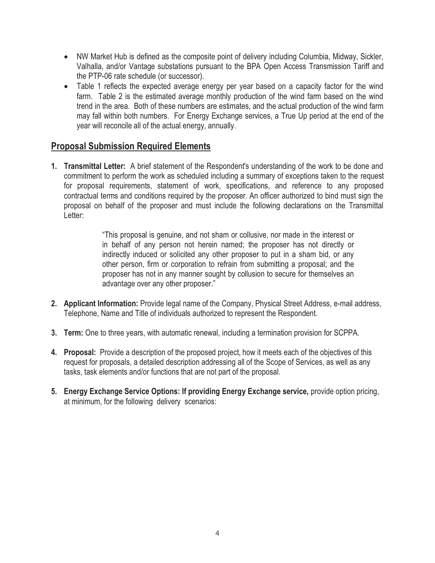- NW Market Hub is defined as the composite point of delivery including Columbia, Midway, Sickler, Valhalla, and/or Vantage substations pursuant to the BPA Open Access Transmission Tariff and the PTP-06 rate schedule (or successor).
- Table 1 reflects the expected average energy per year based on a capacity factor for the wind farm. Table 2 is the estimated average monthly production of the wind farm based on the wind trend in the area. Both of these numbers are estimates, and the actual production of the wind farm may fall within both numbers. For Energy Exchange services, a True Up period at the end of the year will reconcile all of the actual energy, annually.

### **Proposal Submission Required Elements**

**1. Transmittal Letter:** A brief statement of the Respondent's understanding of the work to be done and commitment to perform the work as scheduled including a summary of exceptions taken to the request for proposal requirements, statement of work, specifications, and reference to any proposed contractual terms and conditions required by the proposer. An officer authorized to bind must sign the proposal on behalf of the proposer and must include the following declarations on the Transmittal Letter:

> "This proposal is genuine, and not sham or collusive, nor made in the interest or in behalf of any person not herein named; the proposer has not directly or indirectly induced or solicited any other proposer to put in a sham bid, or any other person, firm or corporation to refrain from submitting a proposal; and the proposer has not in any manner sought by collusion to secure for themselves an advantage over any other proposer."

- **2. Applicant Information:** Provide legal name of the Company, Physical Street Address, e-mail address, Telephone, Name and Title of individuals authorized to represent the Respondent.
- **3. Term:** One to three years, with automatic renewal, including a termination provision for SCPPA.
- **4. Proposal:** Provide a description of the proposed project, how it meets each of the objectives of this request for proposals, a detailed description addressing all of the Scope of Services, as well as any tasks, task elements and/or functions that are not part of the proposal.
- **5. Energy Exchange Service Options: If providing Energy Exchange service,** provide option pricing, at minimum, for the following delivery scenarios: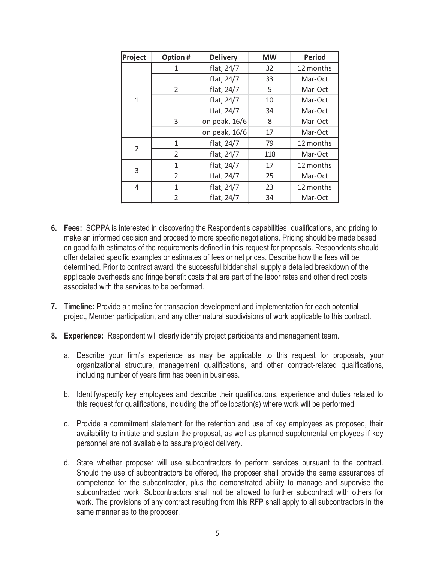| Project      | Option #       | <b>Delivery</b> | <b>MW</b> | <b>Period</b> |  |
|--------------|----------------|-----------------|-----------|---------------|--|
|              | 1              | flat, 24/7      | 32        | 12 months     |  |
|              |                | flat, 24/7      | 33        | Mar-Oct       |  |
|              | $\overline{2}$ | flat, 24/7      | 5         | Mar-Oct       |  |
| $\mathbf{1}$ |                | flat, 24/7      | 10        | Mar-Oct       |  |
|              |                | flat, 24/7      | 34        | Mar-Oct       |  |
|              | 3              | on peak, 16/6   | 8         | Mar-Oct       |  |
|              |                | on peak, 16/6   | 17        | Mar-Oct       |  |
|              | 1              | flat, 24/7      | 79        | 12 months     |  |
| 2            | 2              | flat, 24/7      | 118       | Mar-Oct       |  |
|              | 1              | flat, 24/7      | 17        | 12 months     |  |
| 3            | $\overline{2}$ | flat, 24/7      | 25        | Mar-Oct       |  |
| 4            | 1              | flat, 24/7      | 23        | 12 months     |  |
|              | $\mathcal{P}$  | flat, 24/7      | 34        | Mar-Oct       |  |

- **6. Fees:** SCPPA is interested in discovering the Respondent's capabilities, qualifications, and pricing to make an informed decision and proceed to more specific negotiations. Pricing should be made based on good faith estimates of the requirements defined in this request for proposals. Respondents should offer detailed specific examples or estimates of fees or net prices. Describe how the fees will be determined. Prior to contract award, the successful bidder shall supply a detailed breakdown of the applicable overheads and fringe benefit costs that are part of the labor rates and other direct costs associated with the services to be performed.
- **7. Timeline:** Provide a timeline for transaction development and implementation for each potential project, Member participation, and any other natural subdivisions of work applicable to this contract.
- **8. Experience:** Respondent will clearly identify project participants and management team.
	- a. Describe your firm's experience as may be applicable to this request for proposals, your organizational structure, management qualifications, and other contract-related qualifications, including number of years firm has been in business.
	- b. Identify/specify key employees and describe their qualifications, experience and duties related to this request for qualifications, including the office location(s) where work will be performed.
	- c. Provide a commitment statement for the retention and use of key employees as proposed, their availability to initiate and sustain the proposal, as well as planned supplemental employees if key personnel are not available to assure project delivery.
	- d. State whether proposer will use subcontractors to perform services pursuant to the contract. Should the use of subcontractors be offered, the proposer shall provide the same assurances of competence for the subcontractor, plus the demonstrated ability to manage and supervise the subcontracted work. Subcontractors shall not be allowed to further subcontract with others for work. The provisions of any contract resulting from this RFP shall apply to all subcontractors in the same manner as to the proposer.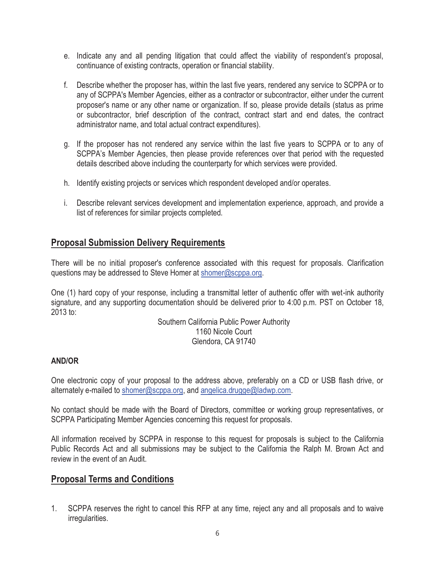- e. Indicate any and all pending litigation that could affect the viability of respondent's proposal, continuance of existing contracts, operation or financial stability.
- f. Describe whether the proposer has, within the last five years, rendered any service to SCPPA or to any of SCPPA's Member Agencies, either as a contractor or subcontractor, either under the current proposer's name or any other name or organization. If so, please provide details (status as prime or subcontractor, brief description of the contract, contract start and end dates, the contract administrator name, and total actual contract expenditures).
- g. If the proposer has not rendered any service within the last five years to SCPPA or to any of SCPPA's Member Agencies, then please provide references over that period with the requested details described above including the counterparty for which services were provided.
- h. Identify existing projects or services which respondent developed and/or operates.
- i. Describe relevant services development and implementation experience, approach, and provide a list of references for similar projects completed.

## **Proposal Submission Delivery Requirements**

There will be no initial proposer's conference associated with this request for proposals. Clarification questions may be addressed to Steve Homer at shomer@scppa.org.

One (1) hard copy of your response, including a transmittal letter of authentic offer with wet-ink authority signature, and any supporting documentation should be delivered prior to 4:00 p.m. PST on October 18, 2013 to:

> Southern California Public Power Authority 1160 Nicole Court Glendora, CA 91740

#### **AND/OR**

One electronic copy of your proposal to the address above, preferably on a CD or USB flash drive, or alternately e-mailed to shomer@scppa.org, and angelica.drugge@ladwp.com.

No contact should be made with the Board of Directors, committee or working group representatives, or SCPPA Participating Member Agencies concerning this request for proposals.

All information received by SCPPA in response to this request for proposals is subject to the California Public Records Act and all submissions may be subject to the California the Ralph M. Brown Act and review in the event of an Audit.

### **Proposal Terms and Conditions**

1. SCPPA reserves the right to cancel this RFP at any time, reject any and all proposals and to waive irregularities.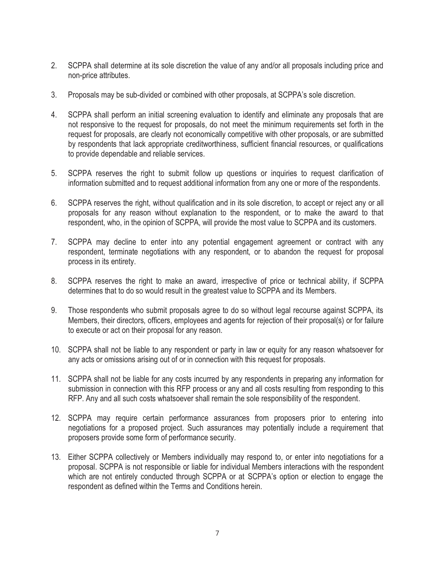- 2. SCPPA shall determine at its sole discretion the value of any and/or all proposals including price and non-price attributes.
- 3. Proposals may be sub-divided or combined with other proposals, at SCPPA's sole discretion.
- 4. SCPPA shall perform an initial screening evaluation to identify and eliminate any proposals that are not responsive to the request for proposals, do not meet the minimum requirements set forth in the request for proposals, are clearly not economically competitive with other proposals, or are submitted by respondents that lack appropriate creditworthiness, sufficient financial resources, or qualifications to provide dependable and reliable services.
- 5. SCPPA reserves the right to submit follow up questions or inquiries to request clarification of information submitted and to request additional information from any one or more of the respondents.
- 6. SCPPA reserves the right, without qualification and in its sole discretion, to accept or reject any or all proposals for any reason without explanation to the respondent, or to make the award to that respondent, who, in the opinion of SCPPA, will provide the most value to SCPPA and its customers.
- 7. SCPPA may decline to enter into any potential engagement agreement or contract with any respondent, terminate negotiations with any respondent, or to abandon the request for proposal process in its entirety.
- 8. SCPPA reserves the right to make an award, irrespective of price or technical ability, if SCPPA determines that to do so would result in the greatest value to SCPPA and its Members.
- 9. Those respondents who submit proposals agree to do so without legal recourse against SCPPA, its Members, their directors, officers, employees and agents for rejection of their proposal(s) or for failure to execute or act on their proposal for any reason.
- 10. SCPPA shall not be liable to any respondent or party in law or equity for any reason whatsoever for any acts or omissions arising out of or in connection with this request for proposals.
- 11. SCPPA shall not be liable for any costs incurred by any respondents in preparing any information for submission in connection with this RFP process or any and all costs resulting from responding to this RFP. Any and all such costs whatsoever shall remain the sole responsibility of the respondent.
- 12. SCPPA may require certain performance assurances from proposers prior to entering into negotiations for a proposed project. Such assurances may potentially include a requirement that proposers provide some form of performance security.
- 13. Either SCPPA collectively or Members individually may respond to, or enter into negotiations for a proposal. SCPPA is not responsible or liable for individual Members interactions with the respondent which are not entirely conducted through SCPPA or at SCPPA's option or election to engage the respondent as defined within the Terms and Conditions herein.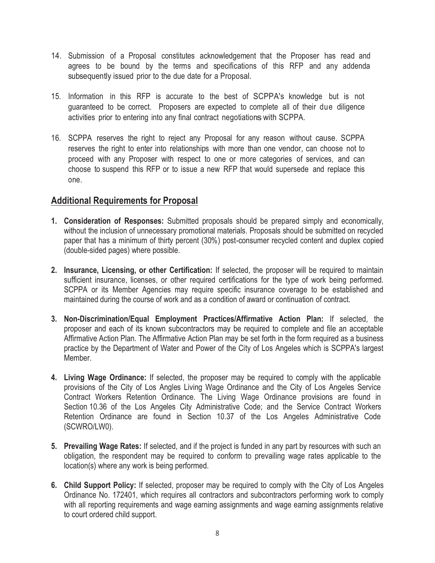- 14. Submission of a Proposal constitutes acknowledgement that the Proposer has read and agrees to be bound by the terms and specifications of this RFP and any addenda subsequently issued prior to the due date for a Proposal.
- 15. Information in this RFP is accurate to the best of SCPPA's knowledge but is not guaranteed to be correct. Proposers are expected to complete all of their due diligence activities prior to entering into any final contract negotiationswith SCPPA.
- 16. SCPPA reserves the right to reject any Proposal for any reason without cause. SCPPA reserves the right to enter into relationships with more than one vendor, can choose not to proceed with any Proposer with respect to one or more categories of services, and can choose to suspend this RFP or to issue a new RFP that would supersede and replace this one.

### **Additional Requirements for Proposal**

- **1. Consideration of Responses:** Submitted proposals should be prepared simply and economically, without the inclusion of unnecessary promotional materials. Proposals should be submitted on recycled paper that has a minimum of thirty percent (30%) post-consumer recycled content and duplex copied (double-sided pages) where possible.
- **2. Insurance, Licensing, or other Certification:** If selected, the proposer will be required to maintain sufficient insurance, licenses, or other required certifications for the type of work being performed. SCPPA or its Member Agencies may require specific insurance coverage to be established and maintained during the course of work and as a condition of award or continuation of contract.
- **3. Non-Discrimination/Equal Employment Practices/Affirmative Action Plan:** If selected, the proposer and each of its known subcontractors may be required to complete and file an acceptable Affirmative Action Plan. The Affirmative Action Plan may be set forth in the form required as a business practice by the Department of Water and Power of the City of Los Angeles which is SCPPA's largest Member.
- **4. Living Wage Ordinance:** If selected, the proposer may be required to comply with the applicable provisions of the City of Los Angles Living Wage Ordinance and the City of Los Angeles Service Contract Workers Retention Ordinance. The Living Wage Ordinance provisions are found in Section 10.36 of the Los Angeles City Administrative Code; and the Service Contract Workers Retention Ordinance are found in Section 10.37 of the Los Angeles Administrative Code (SCWRO/LW0).
- **5. Prevailing Wage Rates:** If selected, and if the project is funded in any part by resources with such an obligation, the respondent may be required to conform to prevailing wage rates applicable to the location(s) where any work is being performed.
- **6. Child Support Policy:** If selected, proposer may be required to comply with the City of Los Angeles Ordinance No. 172401, which requires all contractors and subcontractors performing work to comply with all reporting requirements and wage earning assignments and wage earning assignments relative to court ordered child support.